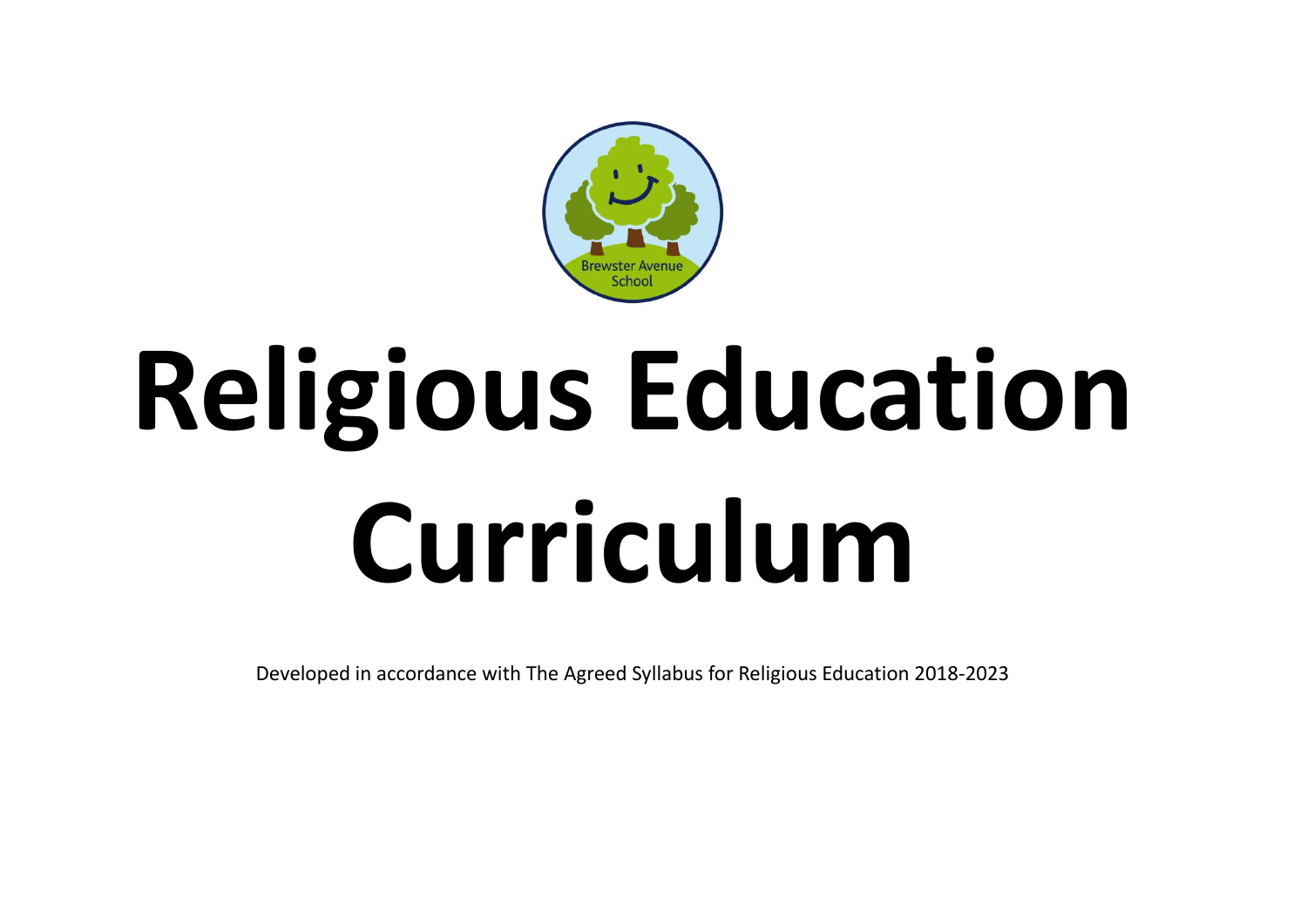

# **Religious Education Curriculum**

Developed in accordance with The Agreed Syllabus for Religious Education 2018-2023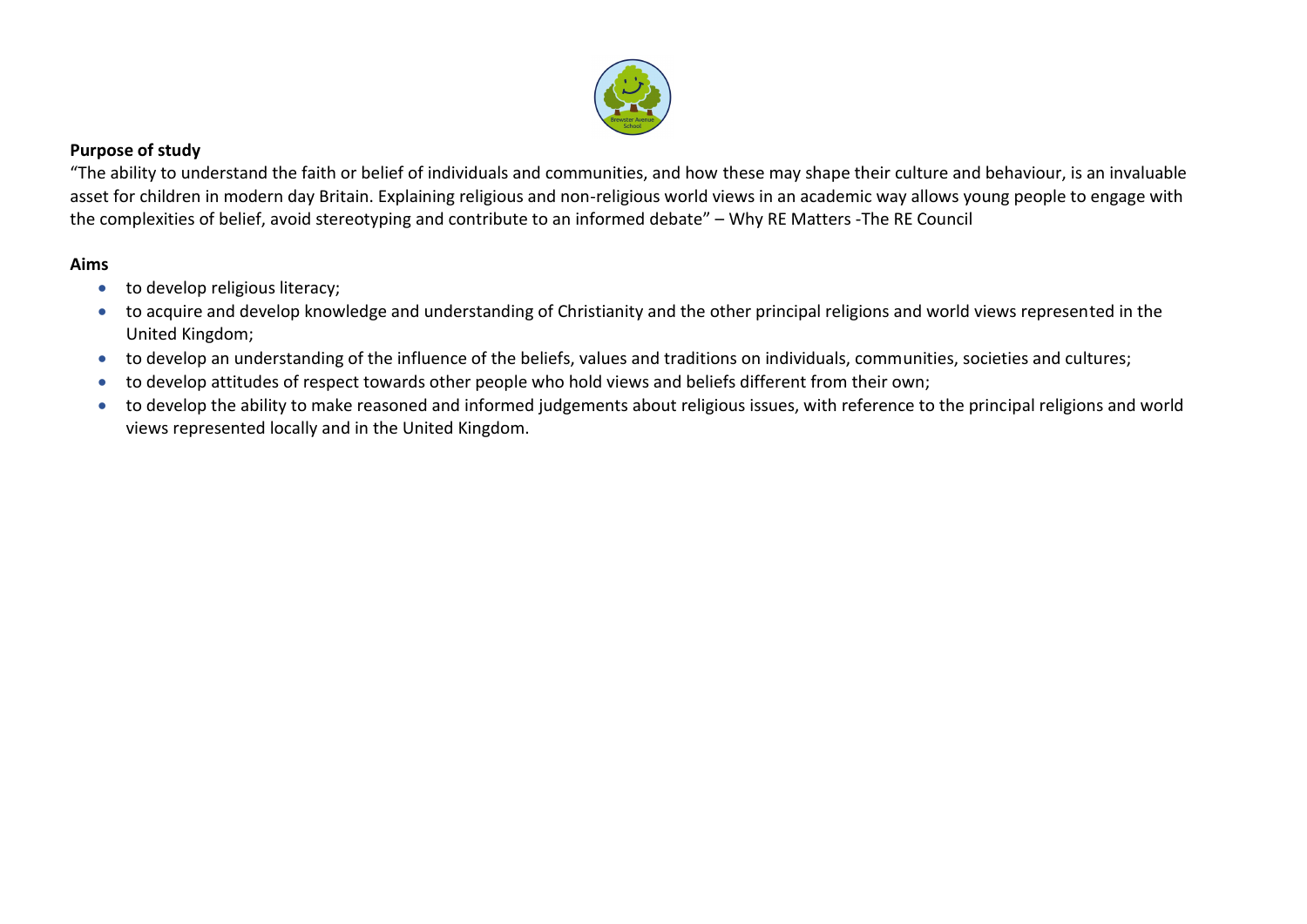

### **Purpose of study**

"The ability to understand the faith or belief of individuals and communities, and how these may shape their culture and behaviour, is an invaluable asset for children in modern day Britain. Explaining religious and non-religious world views in an academic way allows young people to engage with the complexities of belief, avoid stereotyping and contribute to an informed debate" – Why RE Matters -The RE Council

# **Aims**

- to develop religious literacy;
- to acquire and develop knowledge and understanding of Christianity and the other principal religions and world views represented in the United Kingdom;
- to develop an understanding of the influence of the beliefs, values and traditions on individuals, communities, societies and cultures;
- to develop attitudes of respect towards other people who hold views and beliefs different from their own;
- to develop the ability to make reasoned and informed judgements about religious issues, with reference to the principal religions and world views represented locally and in the United Kingdom.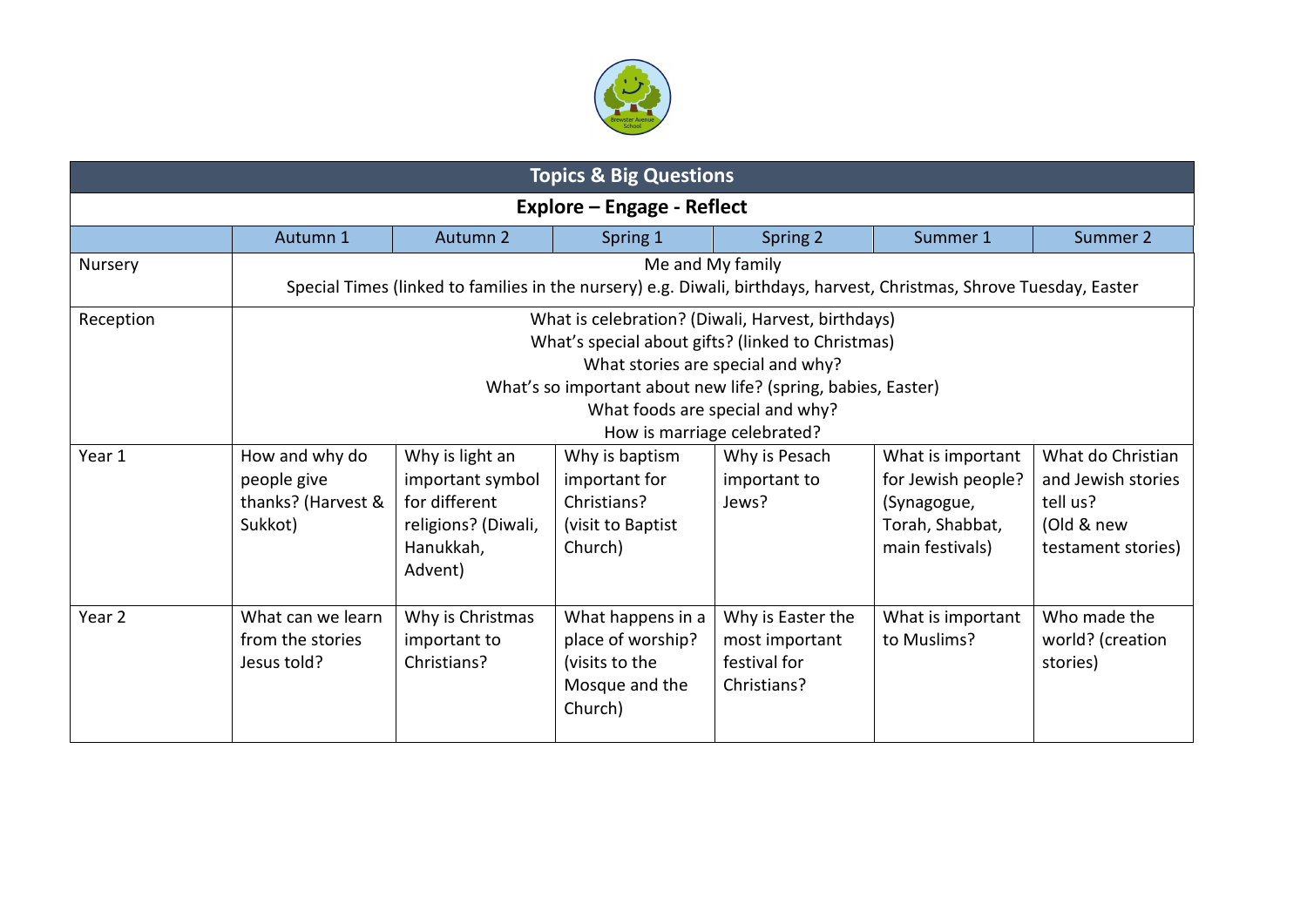

| <b>Topics &amp; Big Questions</b> |                                                                                                                                                                                                                                                                               |                                                                                                     |                                                                                       |                                                                    |                                                                                              |                                                                                         |
|-----------------------------------|-------------------------------------------------------------------------------------------------------------------------------------------------------------------------------------------------------------------------------------------------------------------------------|-----------------------------------------------------------------------------------------------------|---------------------------------------------------------------------------------------|--------------------------------------------------------------------|----------------------------------------------------------------------------------------------|-----------------------------------------------------------------------------------------|
| Explore – Engage - Reflect        |                                                                                                                                                                                                                                                                               |                                                                                                     |                                                                                       |                                                                    |                                                                                              |                                                                                         |
|                                   | Autumn 1                                                                                                                                                                                                                                                                      | Autumn <sub>2</sub>                                                                                 | Spring 1                                                                              | Spring 2                                                           | Summer 1                                                                                     | Summer 2                                                                                |
| Nursery                           | Me and My family<br>Special Times (linked to families in the nursery) e.g. Diwali, birthdays, harvest, Christmas, Shrove Tuesday, Easter                                                                                                                                      |                                                                                                     |                                                                                       |                                                                    |                                                                                              |                                                                                         |
| Reception                         | What is celebration? (Diwali, Harvest, birthdays)<br>What's special about gifts? (linked to Christmas)<br>What stories are special and why?<br>What's so important about new life? (spring, babies, Easter)<br>What foods are special and why?<br>How is marriage celebrated? |                                                                                                     |                                                                                       |                                                                    |                                                                                              |                                                                                         |
| Year 1                            | How and why do<br>people give<br>thanks? (Harvest &<br>Sukkot)                                                                                                                                                                                                                | Why is light an<br>important symbol<br>for different<br>religions? (Diwali,<br>Hanukkah,<br>Advent) | Why is baptism<br>important for<br>Christians?<br>(visit to Baptist<br>Church)        | Why is Pesach<br>important to<br>Jews?                             | What is important<br>for Jewish people?<br>(Synagogue,<br>Torah, Shabbat,<br>main festivals) | What do Christian<br>and Jewish stories<br>tell us?<br>(Old & new<br>testament stories) |
| Year <sub>2</sub>                 | What can we learn<br>from the stories<br>Jesus told?                                                                                                                                                                                                                          | Why is Christmas<br>important to<br>Christians?                                                     | What happens in a<br>place of worship?<br>(visits to the<br>Mosque and the<br>Church) | Why is Easter the<br>most important<br>festival for<br>Christians? | What is important<br>to Muslims?                                                             | Who made the<br>world? (creation<br>stories)                                            |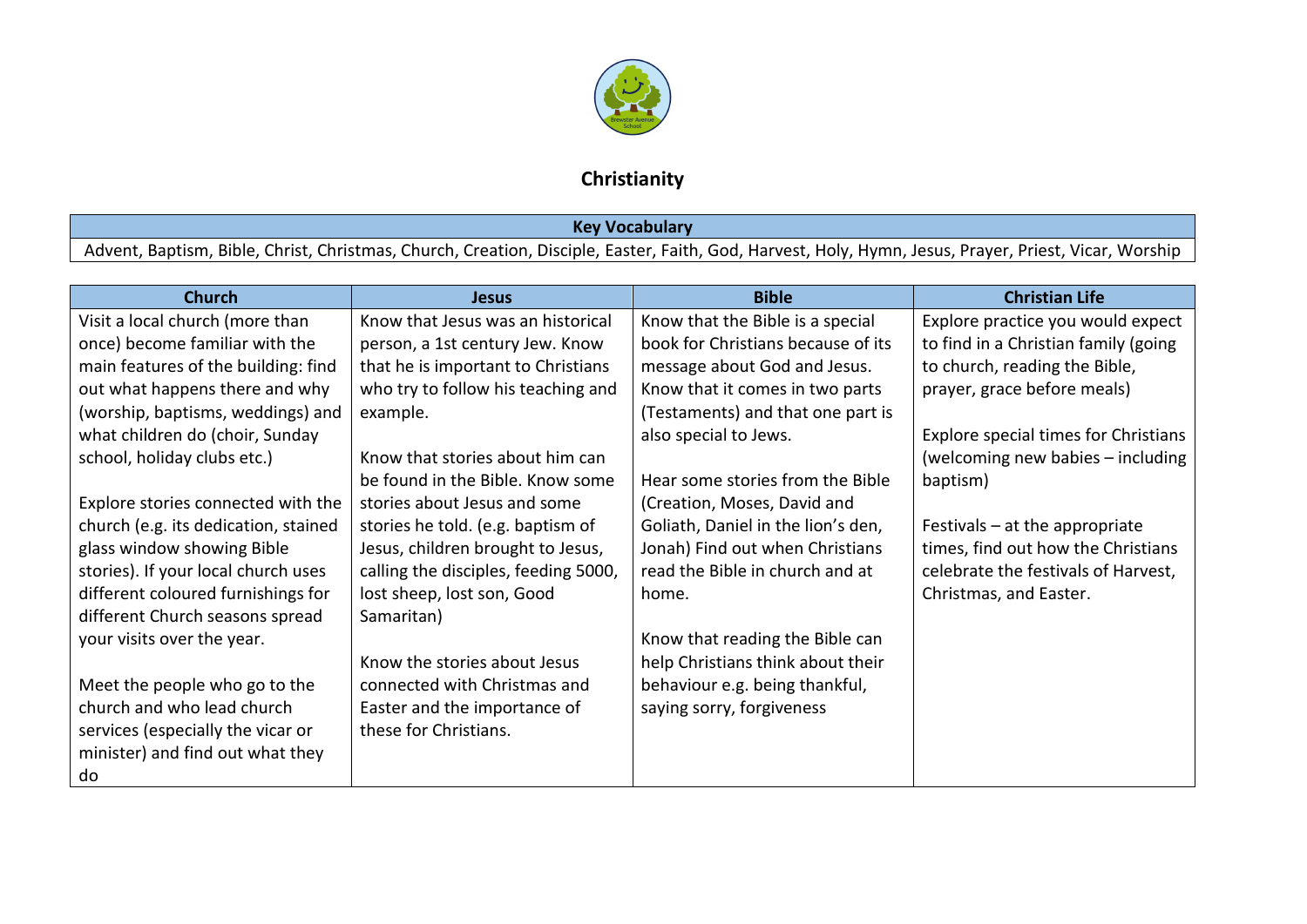

# **Christianity**

# **Key Vocabulary**

Advent, Baptism, Bible, Christ, Christmas, Church, Creation, Disciple, Easter, Faith, God, Harvest, Holy, Hymn, Jesus, Prayer, Priest, Vicar, Worship

| <b>Church</b>                        | <b>Jesus</b>                         | <b>Bible</b>                       | <b>Christian Life</b>                       |
|--------------------------------------|--------------------------------------|------------------------------------|---------------------------------------------|
| Visit a local church (more than      | Know that Jesus was an historical    | Know that the Bible is a special   | Explore practice you would expect           |
| once) become familiar with the       | person, a 1st century Jew. Know      | book for Christians because of its | to find in a Christian family (going        |
| main features of the building: find  | that he is important to Christians   | message about God and Jesus.       | to church, reading the Bible,               |
| out what happens there and why       | who try to follow his teaching and   | Know that it comes in two parts    | prayer, grace before meals)                 |
| (worship, baptisms, weddings) and    | example.                             | (Testaments) and that one part is  |                                             |
| what children do (choir, Sunday      |                                      | also special to Jews.              | <b>Explore special times for Christians</b> |
| school, holiday clubs etc.)          | Know that stories about him can      |                                    | (welcoming new babies - including           |
|                                      | be found in the Bible. Know some     | Hear some stories from the Bible   | baptism)                                    |
| Explore stories connected with the   | stories about Jesus and some         | (Creation, Moses, David and        |                                             |
| church (e.g. its dedication, stained | stories he told. (e.g. baptism of    | Goliath, Daniel in the lion's den, | Festivals $-$ at the appropriate            |
| glass window showing Bible           | Jesus, children brought to Jesus,    | Jonah) Find out when Christians    | times, find out how the Christians          |
| stories). If your local church uses  | calling the disciples, feeding 5000, | read the Bible in church and at    | celebrate the festivals of Harvest,         |
| different coloured furnishings for   | lost sheep, lost son, Good           | home.                              | Christmas, and Easter.                      |
| different Church seasons spread      | Samaritan)                           |                                    |                                             |
| your visits over the year.           |                                      | Know that reading the Bible can    |                                             |
|                                      | Know the stories about Jesus         | help Christians think about their  |                                             |
| Meet the people who go to the        | connected with Christmas and         | behaviour e.g. being thankful,     |                                             |
| church and who lead church           | Easter and the importance of         | saying sorry, forgiveness          |                                             |
| services (especially the vicar or    | these for Christians.                |                                    |                                             |
| minister) and find out what they     |                                      |                                    |                                             |
| do                                   |                                      |                                    |                                             |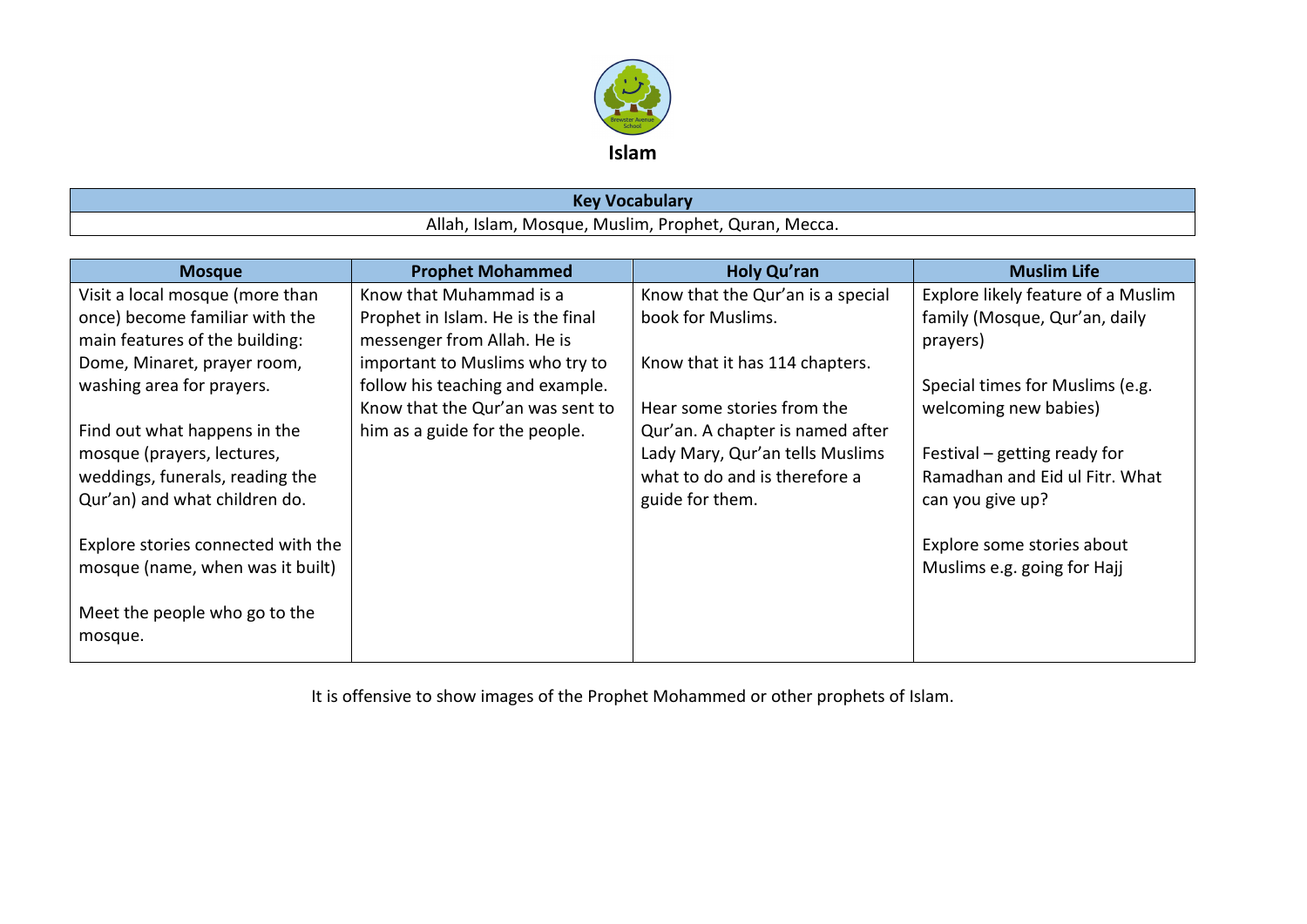

| <b><i><u>A</u></i></b> ocabulary<br><b>AG</b>                             |  |  |
|---------------------------------------------------------------------------|--|--|
| Allah,<br>า, Mecca.<br>, Prophet,<br>Tslam<br>Quran<br>Mosque.<br>Muslim, |  |  |

| <b>Mosque</b>                      | <b>Prophet Mohammed</b>           | <b>Holy Qu'ran</b>                | <b>Muslim Life</b>                 |
|------------------------------------|-----------------------------------|-----------------------------------|------------------------------------|
| Visit a local mosque (more than    | Know that Muhammad is a           | Know that the Qur'an is a special | Explore likely feature of a Muslim |
| once) become familiar with the     | Prophet in Islam. He is the final | book for Muslims.                 | family (Mosque, Qur'an, daily      |
| main features of the building:     | messenger from Allah. He is       |                                   | prayers)                           |
| Dome, Minaret, prayer room,        | important to Muslims who try to   | Know that it has 114 chapters.    |                                    |
| washing area for prayers.          | follow his teaching and example.  |                                   | Special times for Muslims (e.g.    |
|                                    | Know that the Qur'an was sent to  | Hear some stories from the        | welcoming new babies)              |
| Find out what happens in the       | him as a guide for the people.    | Qur'an. A chapter is named after  |                                    |
| mosque (prayers, lectures,         |                                   | Lady Mary, Qur'an tells Muslims   | Festival – getting ready for       |
| weddings, funerals, reading the    |                                   | what to do and is therefore a     | Ramadhan and Eid ul Fitr. What     |
| Qur'an) and what children do.      |                                   | guide for them.                   | can you give up?                   |
|                                    |                                   |                                   |                                    |
| Explore stories connected with the |                                   |                                   | Explore some stories about         |
| mosque (name, when was it built)   |                                   |                                   | Muslims e.g. going for Hajj        |
|                                    |                                   |                                   |                                    |
| Meet the people who go to the      |                                   |                                   |                                    |
| mosque.                            |                                   |                                   |                                    |

It is offensive to show images of the Prophet Mohammed or other prophets of Islam.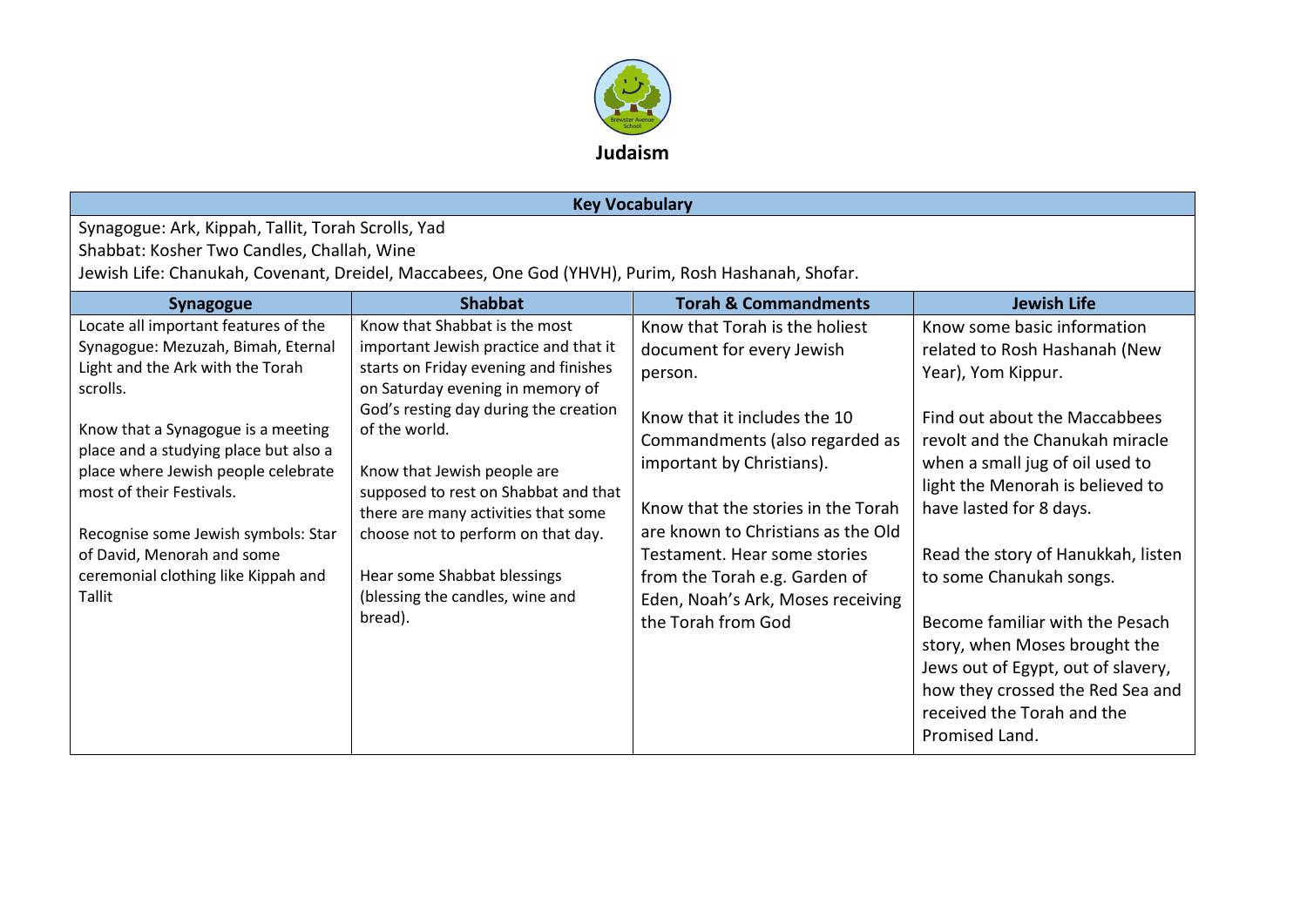

# **Key Vocabulary**

Synagogue: Ark, Kippah, Tallit, Torah Scrolls, Yad Shabbat: Kosher Two Candles, Challah, Wine Jewish Life: Chanukah, Covenant, Dreidel, Maccabees, One God (YHVH), Purim, Rosh Hashanah, Shofar.

| <b>Synagogue</b>                                                                                                                                                                                                                                                                                                                                                                                   | <b>Shabbat</b>                                                                                                                                                                                                                                                                                                                                                                                                                                 | <b>Torah &amp; Commandments</b>                                                                                                                                                                                                                                                                                                                                               | <b>Jewish Life</b>                                                                                                                                                                                                                                                                                                                                                                                                                                                                                    |
|----------------------------------------------------------------------------------------------------------------------------------------------------------------------------------------------------------------------------------------------------------------------------------------------------------------------------------------------------------------------------------------------------|------------------------------------------------------------------------------------------------------------------------------------------------------------------------------------------------------------------------------------------------------------------------------------------------------------------------------------------------------------------------------------------------------------------------------------------------|-------------------------------------------------------------------------------------------------------------------------------------------------------------------------------------------------------------------------------------------------------------------------------------------------------------------------------------------------------------------------------|-------------------------------------------------------------------------------------------------------------------------------------------------------------------------------------------------------------------------------------------------------------------------------------------------------------------------------------------------------------------------------------------------------------------------------------------------------------------------------------------------------|
| Locate all important features of the<br>Synagogue: Mezuzah, Bimah, Eternal<br>Light and the Ark with the Torah<br>scrolls.<br>Know that a Synagogue is a meeting<br>place and a studying place but also a<br>place where Jewish people celebrate<br>most of their Festivals.<br>Recognise some Jewish symbols: Star<br>of David, Menorah and some<br>ceremonial clothing like Kippah and<br>Tallit | Know that Shabbat is the most<br>important Jewish practice and that it<br>starts on Friday evening and finishes<br>on Saturday evening in memory of<br>God's resting day during the creation<br>of the world.<br>Know that Jewish people are<br>supposed to rest on Shabbat and that<br>there are many activities that some<br>choose not to perform on that day.<br>Hear some Shabbat blessings<br>(blessing the candles, wine and<br>bread). | Know that Torah is the holiest<br>document for every Jewish<br>person.<br>Know that it includes the 10<br>Commandments (also regarded as<br>important by Christians).<br>Know that the stories in the Torah<br>are known to Christians as the Old<br>Testament. Hear some stories<br>from the Torah e.g. Garden of<br>Eden, Noah's Ark, Moses receiving<br>the Torah from God | Know some basic information<br>related to Rosh Hashanah (New<br>Year), Yom Kippur.<br>Find out about the Maccabbees<br>revolt and the Chanukah miracle<br>when a small jug of oil used to<br>light the Menorah is believed to<br>have lasted for 8 days.<br>Read the story of Hanukkah, listen<br>to some Chanukah songs.<br>Become familiar with the Pesach<br>story, when Moses brought the<br>Jews out of Egypt, out of slavery,<br>how they crossed the Red Sea and<br>received the Torah and the |
|                                                                                                                                                                                                                                                                                                                                                                                                    |                                                                                                                                                                                                                                                                                                                                                                                                                                                |                                                                                                                                                                                                                                                                                                                                                                               | Promised Land.                                                                                                                                                                                                                                                                                                                                                                                                                                                                                        |